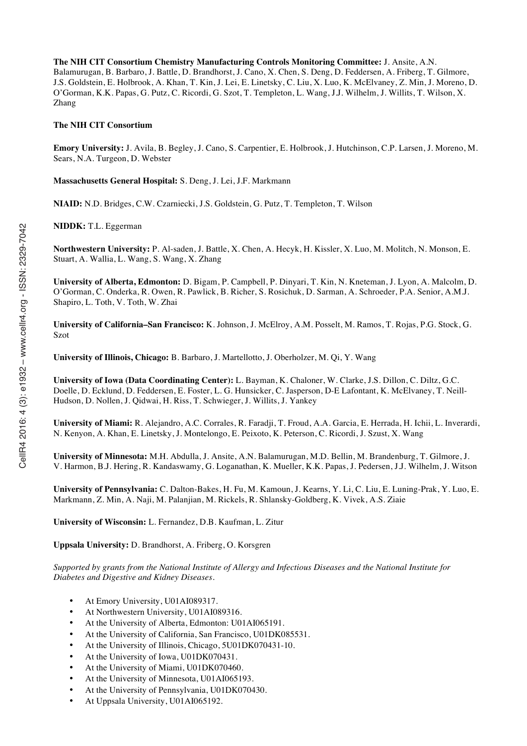**The NIH CIT Consortium Chemistry Manufacturing Controls Monitoring Committee:** J. Ansite, A.N. Balamurugan, B. Barbaro, J. Battle, D. Brandhorst, J. Cano, X. Chen, S. Deng, D. Feddersen, A. Friberg, T. Gilmore, J.S. Goldstein, E. Holbrook, A. Khan, T. Kin, J. Lei, E. Linetsky, C. Liu, X. Luo, K. McElvaney, Z. Min, J. Moreno, D. O'Gorman, K.K. Papas, G. Putz, C. Ricordi, G. Szot, T. Templeton, L. Wang, J.J. Wilhelm, J. Willits, T. Wilson, X. Zhang

# **The NIH CIT Consortium**

**Emory University:** J. Avila, B. Begley, J. Cano, S. Carpentier, E. Holbrook, J. Hutchinson, C.P. Larsen, J. Moreno, M. Sears, N.A. Turgeon, D. Webster

**Massachusetts General Hospital:** S. Deng, J. Lei, J.F. Markmann

**NIAID:** N.D. Bridges, C.W. Czarniecki, J.S. Goldstein, G. Putz, T. Templeton, T. Wilson

**NIDDK:** T.L. Eggerman

**Northwestern University:** P. Al-saden, J. Battle, X. Chen, A. Hecyk, H. Kissler, X. Luo, M. Molitch, N. Monson, E. Stuart, A. Wallia, L. Wang, S. Wang, X. Zhang

**University of Alberta, Edmonton:** D. Bigam, P. Campbell, P. Dinyari, T. Kin, N. Kneteman, J. Lyon, A. Malcolm, D. O'Gorman, C. Onderka, R. Owen, R. Pawlick, B. Richer, S. Rosichuk, D. Sarman, A. Schroeder, P.A. Senior, A.M.J. Shapiro, L. Toth, V. Toth, W. Zhai

**University of California–San Francisco:** K. Johnson, J. McElroy, A.M. Posselt, M. Ramos, T. Rojas, P.G. Stock, G. Szot

**University of Illinois, Chicago:** B. Barbaro, J. Martellotto, J. Oberholzer, M. Qi, Y. Wang

**University of Iowa (Data Coordinating Center):** L. Bayman, K. Chaloner, W. Clarke, J.S. Dillon, C. Diltz, G.C. Doelle, D. Ecklund, D. Feddersen, E. Foster, L. G. Hunsicker, C. Jasperson, D-E Lafontant, K. McElvaney, T. Neill-Hudson, D. Nollen, J. Qidwai, H. Riss, T. Schwieger, J. Willits, J. Yankey

**University of Miami:** R. Alejandro, A.C. Corrales, R. Faradji, T. Froud, A.A. Garcia, E. Herrada, H. Ichii, L. Inverardi, N. Kenyon, A. Khan, E. Linetsky, J. Montelongo, E. Peixoto, K. Peterson, C. Ricordi, J. Szust, X. Wang

**University of Minnesota:** M.H. Abdulla, J. Ansite, A.N. Balamurugan, M.D. Bellin, M. Brandenburg, T. Gilmore, J. V. Harmon, B.J. Hering, R. Kandaswamy, G. Loganathan, K. Mueller, K.K. Papas, J. Pedersen, J.J. Wilhelm, J. Witson

**University of Pennsylvania:** C. Dalton-Bakes, H. Fu, M. Kamoun, J. Kearns, Y. Li, C. Liu, E. Luning-Prak, Y. Luo, E. Markmann, Z. Min, A. Naji, M. Palanjian, M. Rickels, R. Shlansky-Goldberg, K. Vivek, A.S. Ziaie

**University of Wisconsin:** L. Fernandez, D.B. Kaufman, L. Zitur

**Uppsala University:** D. Brandhorst, A. Friberg, O. Korsgren

*Supported by grants from the National Institute of Allergy and Infectious Diseases and the National Institute for Diabetes and Digestive and Kidney Diseases.*

- At Emory University, U01AI089317.
- At Northwestern University, U01AI089316.
- At the University of Alberta, Edmonton: U01AI065191.
- At the University of California, San Francisco, U01DK085531.
- At the University of Illinois, Chicago, 5U01DK070431-10.
- At the University of Iowa, U01DK070431.
- At the University of Miami, U01DK070460.
- At the University of Minnesota, U01AI065193.
- At the University of Pennsylvania, U01DK070430.
- At Uppsala University, U01AI065192.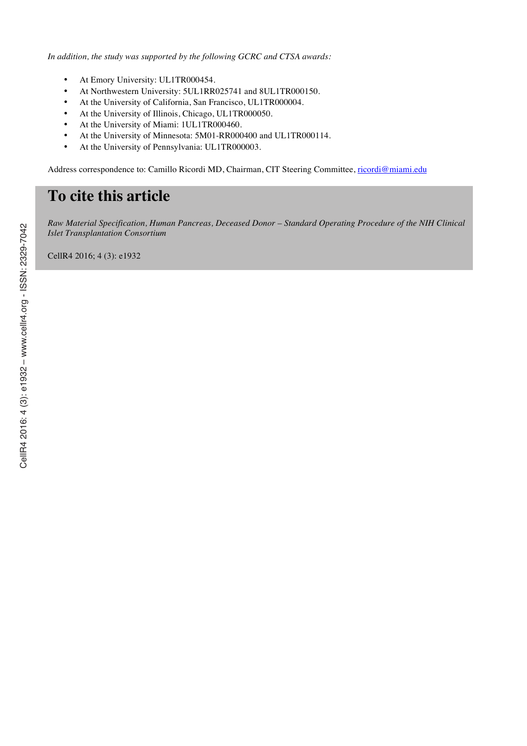*In addition, the study was supported by the following GCRC and CTSA awards:*

- At Emory University: UL1TR000454.
- At Northwestern University: 5UL1RR025741 and 8UL1TR000150.
- At the University of California, San Francisco, UL1TR000004.
- At the University of Illinois, Chicago, UL1TR000050.
- At the University of Miami: 1UL1TR000460.
- At the University of Minnesota: 5M01-RR000400 and UL1TR000114.
- At the University of Pennsylvania: UL1TR000003.

Address correspondence to: Camillo Ricordi MD, Chairman, CIT Steering Committee, ricordi@miami.edu

# **To cite this article**

*Raw Material Specification, Human Pancreas, Deceased Donor – Standard Operating Procedure of the NIH Clinical Islet Transplantation Consortium*

CellR4 2016; 4 (3): e1932